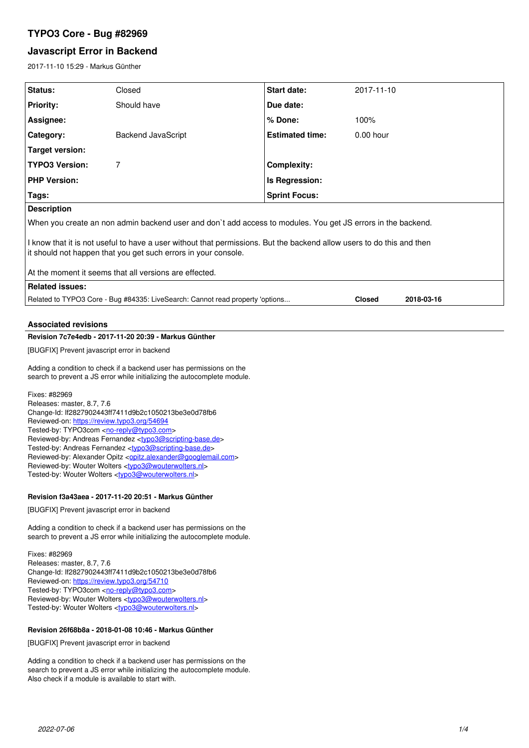# **TYPO3 Core - Bug #82969**

# **Javascript Error in Backend**

2017-11-10 15:29 - Markus Günther

| Status:                                                                                                                                                                                 | Closed             | Start date:            | 2017-11-10    |            |  |  |
|-----------------------------------------------------------------------------------------------------------------------------------------------------------------------------------------|--------------------|------------------------|---------------|------------|--|--|
| <b>Priority:</b>                                                                                                                                                                        | Should have        | Due date:              |               |            |  |  |
| Assignee:                                                                                                                                                                               |                    | $%$ Done:              | 100%          |            |  |  |
| Category:                                                                                                                                                                               | Backend JavaScript | <b>Estimated time:</b> | $0.00$ hour   |            |  |  |
| Target version:                                                                                                                                                                         |                    |                        |               |            |  |  |
| <b>TYPO3 Version:</b>                                                                                                                                                                   | 7                  | <b>Complexity:</b>     |               |            |  |  |
| <b>PHP Version:</b>                                                                                                                                                                     |                    | Is Regression:         |               |            |  |  |
| Tags:                                                                                                                                                                                   |                    | <b>Sprint Focus:</b>   |               |            |  |  |
| <b>Description</b>                                                                                                                                                                      |                    |                        |               |            |  |  |
| When you create an non admin backend user and don't add access to modules. You get JS errors in the backend.                                                                            |                    |                        |               |            |  |  |
| I know that it is not useful to have a user without that permissions. But the backend allow users to do this and then<br>it should not happen that you get such errors in your console. |                    |                        |               |            |  |  |
| At the moment it seems that all versions are effected.                                                                                                                                  |                    |                        |               |            |  |  |
| <b>Related issues:</b>                                                                                                                                                                  |                    |                        |               |            |  |  |
| Related to TYPO3 Core - Bug #84335: LiveSearch: Cannot read property 'options                                                                                                           |                    |                        | <b>Closed</b> | 2018-03-16 |  |  |

## **Associated revisions**

## **Revision 7c7e4edb - 2017-11-20 20:39 - Markus Günther**

[BUGFIX] Prevent javascript error in backend

Adding a condition to check if a backend user has permissions on the search to prevent a JS error while initializing the autocomplete module.

Fixes: #82969 Releases: master, 8.7, 7.6 Change-Id: If2827902443ff7411d9b2c1050213be3e0d78fb6 Reviewed-on:<https://review.typo3.org/54694> Tested-by: TYPO3com [<no-reply@typo3.com](mailto:no-reply@typo3.com)> Reviewed-by: Andreas Fernandez [<typo3@scripting-base.de>](mailto:typo3@scripting-base.de) Tested-by: Andreas Fernandez [<typo3@scripting-base.de>](mailto:typo3@scripting-base.de) Reviewed-by: Alexander Opitz <[opitz.alexander@googlemail.com](mailto:opitz.alexander@googlemail.com)> Reviewed-by: Wouter Wolters <[typo3@wouterwolters.nl](mailto:typo3@wouterwolters.nl)> Tested-by: Wouter Wolters [<typo3@wouterwolters.nl>](mailto:typo3@wouterwolters.nl)

## **Revision f3a43aea - 2017-11-20 20:51 - Markus Günther**

[BUGFIX] Prevent javascript error in backend

Adding a condition to check if a backend user has permissions on the search to prevent a JS error while initializing the autocomplete module.

Fixes: #82969 Releases: master, 8.7, 7.6 Change-Id: If2827902443ff7411d9b2c1050213be3e0d78fb6 Reviewed-on:<https://review.typo3.org/54710> Tested-by: TYPO3com [<no-reply@typo3.com](mailto:no-reply@typo3.com)> Reviewed-by: Wouter Wolters <[typo3@wouterwolters.nl](mailto:typo3@wouterwolters.nl)> Tested-by: Wouter Wolters [<typo3@wouterwolters.nl>](mailto:typo3@wouterwolters.nl)

## **Revision 26f68b8a - 2018-01-08 10:46 - Markus Günther**

[BUGFIX] Prevent javascript error in backend

Adding a condition to check if a backend user has permissions on the search to prevent a JS error while initializing the autocomplete module. Also check if a module is available to start with.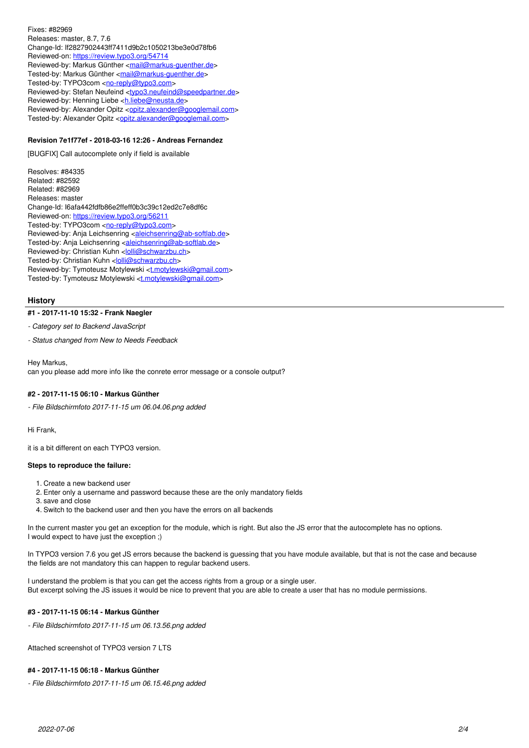Fixes: #82969 Releases: master, 8.7, 7.6 Change-Id: If2827902443ff7411d9b2c1050213be3e0d78fb6 Reviewed-on:<https://review.typo3.org/54714> Reviewed-by: Markus Günther [<mail@markus-guenther.de](mailto:mail@markus-guenther.de)> Tested-by: Markus Günther [<mail@markus-guenther.de>](mailto:mail@markus-guenther.de) Tested-by: TYPO3com [<no-reply@typo3.com](mailto:no-reply@typo3.com)> Reviewed-by: Stefan Neufeind [<typo3.neufeind@speedpartner.de>](mailto:typo3.neufeind@speedpartner.de) Reviewed-by: Henning Liebe <hliebe@neusta.de> Reviewed-by: Alexander Opitz < [opitz.alexander@googlemail.com](mailto:opitz.alexander@googlemail.com)> Tested-by: Alexander Opitz [<opitz.alexander@googlemail.com](mailto:opitz.alexander@googlemail.com)>

## **Revision 7e1f77ef - 2018-03-16 12:26 - Andreas Fernandez**

[BUGFIX] Call autocomplete only if field is available

Resolves: #84335 Related: #82592 Related: #82969 Releases: master Change-Id: I6afa442fdfb86e2ffeff0b3c39c12ed2c7e8df6c Reviewed-on:<https://review.typo3.org/56211> Tested-by: TYPO3com [<no-reply@typo3.com](mailto:no-reply@typo3.com)> Reviewed-by: Anja Leichsenring [<aleichsenring@ab-softlab.de>](mailto:aleichsenring@ab-softlab.de) Tested-by: Anja Leichsenring <[aleichsenring@ab-softlab.de](mailto:aleichsenring@ab-softlab.de)> Reviewed-by: Christian Kuhn [<lolli@schwarzbu.ch>](mailto:lolli@schwarzbu.ch) Tested-by: Christian Kuhn <[lolli@schwarzbu.ch](mailto:lolli@schwarzbu.ch)> Reviewed-by: Tymoteusz Motylewski [<t.motylewski@gmail.com](mailto:t.motylewski@gmail.com)> Tested-by: Tymoteusz Motylewski <[t.motylewski@gmail.com>](mailto:t.motylewski@gmail.com)

#### **History**

## **#1 - 2017-11-10 15:32 - Frank Naegler**

*- Category set to Backend JavaScript*

*- Status changed from New to Needs Feedback*

Hey Markus, can you please add more info like the conrete error message or a console output?

#### **#2 - 2017-11-15 06:10 - Markus Günther**

*- File Bildschirmfoto 2017-11-15 um 06.04.06.png added*

Hi Frank,

it is a bit different on each TYPO3 version.

#### **Steps to reproduce the failure:**

- 1. Create a new backend user
- 2. Enter only a username and password because these are the only mandatory fields
- 3. save and close
- 4. Switch to the backend user and then you have the errors on all backends

In the current master you get an exception for the module, which is right. But also the JS error that the autocomplete has no options. I would expect to have just the exception ;)

In TYPO3 version 7.6 you get JS errors because the backend is guessing that you have module available, but that is not the case and because the fields are not mandatory this can happen to regular backend users.

I understand the problem is that you can get the access rights from a group or a single user. But excerpt solving the JS issues it would be nice to prevent that you are able to create a user that has no module permissions.

#### **#3 - 2017-11-15 06:14 - Markus Günther**

*- File Bildschirmfoto 2017-11-15 um 06.13.56.png added*

Attached screenshot of TYPO3 version 7 LTS

#### **#4 - 2017-11-15 06:18 - Markus Günther**

*- File Bildschirmfoto 2017-11-15 um 06.15.46.png added*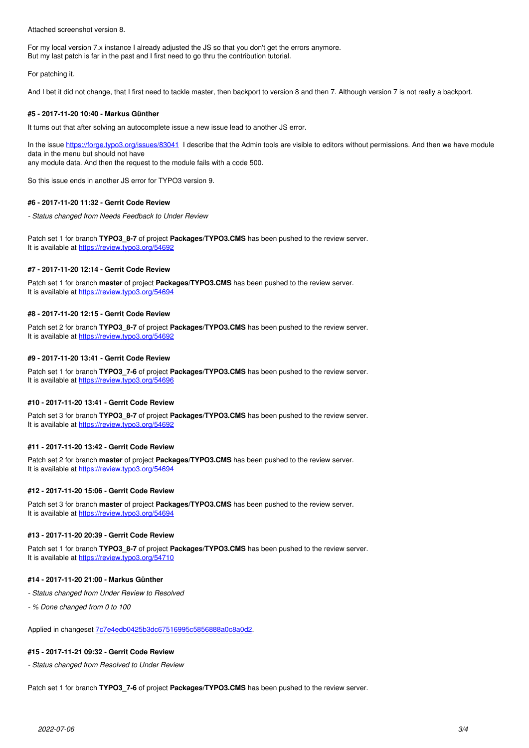Attached screenshot version 8.

For my local version 7.x instance I already adjusted the JS so that you don't get the errors anymore. But my last patch is far in the past and I first need to go thru the contribution tutorial.

For patching it.

And I bet it did not change, that I first need to tackle master, then backport to version 8 and then 7. Although version 7 is not really a backport.

#### **#5 - 2017-11-20 10:40 - Markus Günther**

It turns out that after solving an autocomplete issue a new issue lead to another JS error.

In the issue<https://forge.typo3.org/issues/83041>I describe that the Admin tools are visible to editors without permissions. And then we have module data in the menu but should not have

any module data. And then the request to the module fails with a code 500.

So this issue ends in another JS error for TYPO3 version 9.

#### **#6 - 2017-11-20 11:32 - Gerrit Code Review**

*- Status changed from Needs Feedback to Under Review*

Patch set 1 for branch **TYPO3\_8-7** of project **Packages/TYPO3.CMS** has been pushed to the review server. It is available at <https://review.typo3.org/54692>

#### **#7 - 2017-11-20 12:14 - Gerrit Code Review**

Patch set 1 for branch **master** of project **Packages/TYPO3.CMS** has been pushed to the review server. It is available at <https://review.typo3.org/54694>

#### **#8 - 2017-11-20 12:15 - Gerrit Code Review**

Patch set 2 for branch **TYPO3\_8-7** of project **Packages/TYPO3.CMS** has been pushed to the review server. It is available at <https://review.typo3.org/54692>

#### **#9 - 2017-11-20 13:41 - Gerrit Code Review**

Patch set 1 for branch **TYPO3 7-6** of project **Packages/TYPO3.CMS** has been pushed to the review server. It is available at <https://review.typo3.org/54696>

#### **#10 - 2017-11-20 13:41 - Gerrit Code Review**

Patch set 3 for branch **TYPO3\_8-7** of project **Packages/TYPO3.CMS** has been pushed to the review server. It is available at <https://review.typo3.org/54692>

## **#11 - 2017-11-20 13:42 - Gerrit Code Review**

Patch set 2 for branch **master** of project **Packages/TYPO3.CMS** has been pushed to the review server. It is available at <https://review.typo3.org/54694>

## **#12 - 2017-11-20 15:06 - Gerrit Code Review**

Patch set 3 for branch **master** of project **Packages/TYPO3.CMS** has been pushed to the review server. It is available at <https://review.typo3.org/54694>

#### **#13 - 2017-11-20 20:39 - Gerrit Code Review**

Patch set 1 for branch **TYPO3 8-7** of project **Packages/TYPO3.CMS** has been pushed to the review server. It is available at <https://review.typo3.org/54710>

#### **#14 - 2017-11-20 21:00 - Markus Günther**

- *Status changed from Under Review to Resolved*
- *% Done changed from 0 to 100*

Applied in changeset [7c7e4edb0425b3dc67516995c5856888a0c8a0d2.](https://forge.typo3.org/projects/typo3cms-core/repository/1749/revisions/7c7e4edb0425b3dc67516995c5856888a0c8a0d2)

## **#15 - 2017-11-21 09:32 - Gerrit Code Review**

*- Status changed from Resolved to Under Review*

Patch set 1 for branch **TYPO3\_7-6** of project **Packages/TYPO3.CMS** has been pushed to the review server.